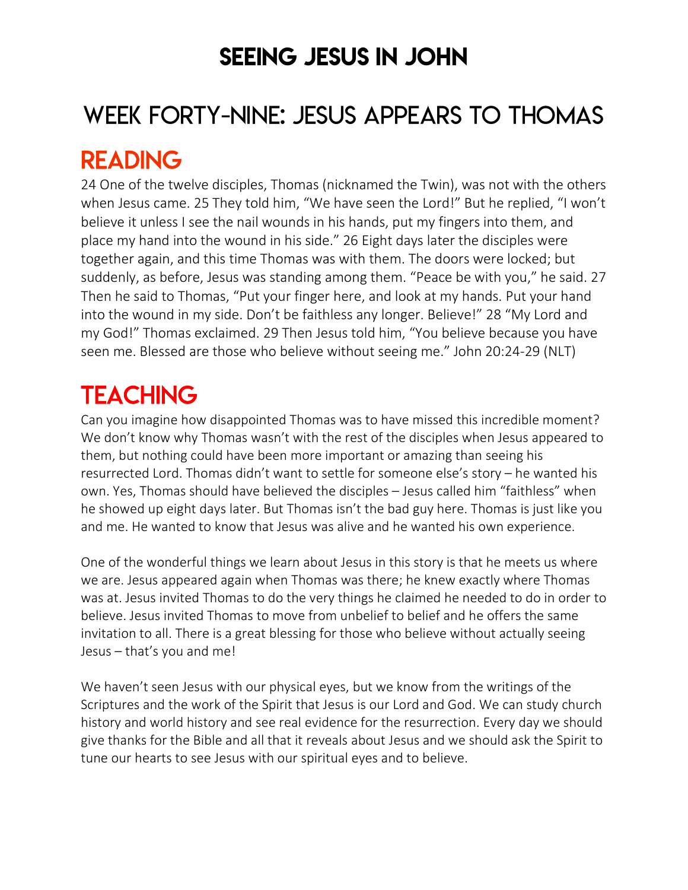### SEEING JESUS IN JOHN

# WEEK FORTY-NINE: JESUS APPEARS TO THOMAS

### READING

24 One of the twelve disciples, Thomas (nicknamed the Twin), was not with the others when Jesus came. 25 They told him, "We have seen the Lord!" But he replied, "I won't believe it unless I see the nail wounds in his hands, put my fingers into them, and place my hand into the wound in his side." 26 Eight days later the disciples were together again, and this time Thomas was with them. The doors were locked; but suddenly, as before, Jesus was standing among them. "Peace be with you," he said. 27 Then he said to Thomas, "Put your finger here, and look at my hands. Put your hand into the wound in my side. Don't be faithless any longer. Believe!" 28 "My Lord and my God!" Thomas exclaimed. 29 Then Jesus told him, "You believe because you have seen me. Blessed are those who believe without seeing me." John 20:24-29 (NLT)

## **TEACHING**

Can you imagine how disappointed Thomas was to have missed this incredible moment? We don't know why Thomas wasn't with the rest of the disciples when Jesus appeared to them, but nothing could have been more important or amazing than seeing his resurrected Lord. Thomas didn't want to settle for someone else's story – he wanted his own. Yes, Thomas should have believed the disciples – Jesus called him "faithless" when he showed up eight days later. But Thomas isn't the bad guy here. Thomas is just like you and me. He wanted to know that Jesus was alive and he wanted his own experience.

One of the wonderful things we learn about Jesus in this story is that he meets us where we are. Jesus appeared again when Thomas was there; he knew exactly where Thomas was at. Jesus invited Thomas to do the very things he claimed he needed to do in order to believe. Jesus invited Thomas to move from unbelief to belief and he offers the same invitation to all. There is a great blessing for those who believe without actually seeing Jesus – that's you and me!

We haven't seen Jesus with our physical eyes, but we know from the writings of the Scriptures and the work of the Spirit that Jesus is our Lord and God. We can study church history and world history and see real evidence for the resurrection. Every day we should give thanks for the Bible and all that it reveals about Jesus and we should ask the Spirit to tune our hearts to see Jesus with our spiritual eyes and to believe.